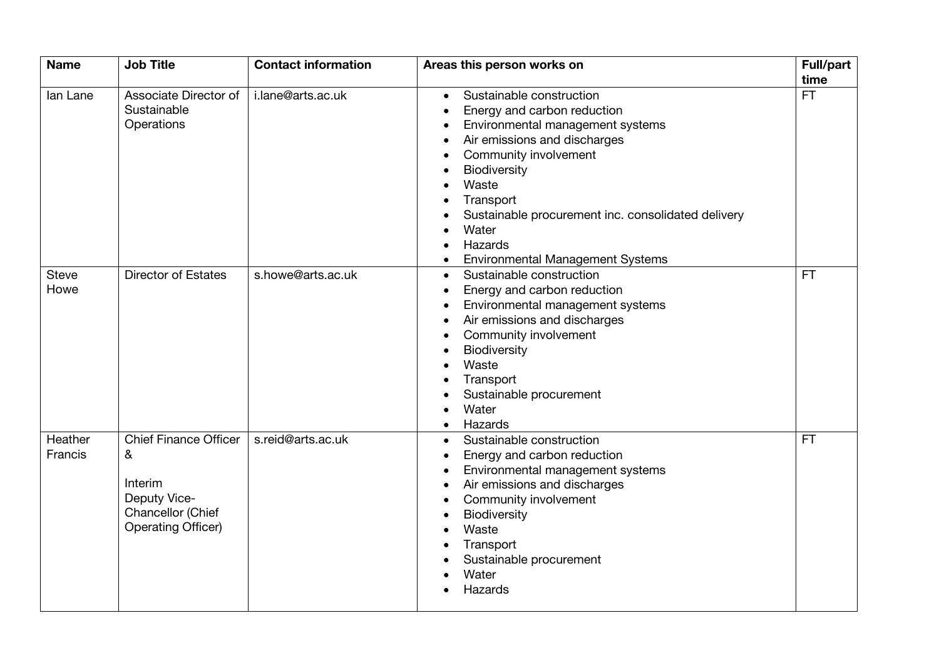| <b>Name</b>  | <b>Job Title</b>             | <b>Contact information</b> | Areas this person works on                           | <b>Full/part</b> |
|--------------|------------------------------|----------------------------|------------------------------------------------------|------------------|
|              |                              |                            |                                                      | time             |
| lan Lane     | Associate Director of        | i.lane@arts.ac.uk          | Sustainable construction<br>$\bullet$                | <b>FT</b>        |
|              | Sustainable                  |                            | Energy and carbon reduction                          |                  |
|              | Operations                   |                            | Environmental management systems                     |                  |
|              |                              |                            | Air emissions and discharges                         |                  |
|              |                              |                            | Community involvement<br>$\bullet$                   |                  |
|              |                              |                            | Biodiversity<br>$\bullet$                            |                  |
|              |                              |                            | Waste<br>$\bullet$                                   |                  |
|              |                              |                            | Transport<br>$\bullet$                               |                  |
|              |                              |                            | Sustainable procurement inc. consolidated delivery   |                  |
|              |                              |                            | Water<br>$\bullet$                                   |                  |
|              |                              |                            | Hazards<br>$\bullet$                                 |                  |
|              |                              |                            | <b>Environmental Management Systems</b><br>$\bullet$ |                  |
| <b>Steve</b> | <b>Director of Estates</b>   | s.howe@arts.ac.uk          | Sustainable construction<br>$\bullet$                | <b>FT</b>        |
| Howe         |                              |                            | Energy and carbon reduction                          |                  |
|              |                              |                            | Environmental management systems<br>$\bullet$        |                  |
|              |                              |                            | Air emissions and discharges<br>$\bullet$            |                  |
|              |                              |                            | Community involvement<br>$\bullet$                   |                  |
|              |                              |                            | Biodiversity<br>$\bullet$                            |                  |
|              |                              |                            | Waste<br>$\bullet$                                   |                  |
|              |                              |                            | Transport                                            |                  |
|              |                              |                            | Sustainable procurement                              |                  |
|              |                              |                            | Water<br>$\bullet$                                   |                  |
|              |                              |                            | Hazards<br>$\bullet$                                 |                  |
| Heather      | <b>Chief Finance Officer</b> | s.reid@arts.ac.uk          | Sustainable construction<br>$\bullet$                | <b>FT</b>        |
| Francis      |                              |                            |                                                      |                  |
|              | &                            |                            | Energy and carbon reduction                          |                  |
|              | Interim                      |                            | Environmental management systems                     |                  |
|              | Deputy Vice-                 |                            | Air emissions and discharges                         |                  |
|              | Chancellor (Chief            |                            | Community involvement<br>$\bullet$                   |                  |
|              | <b>Operating Officer)</b>    |                            | Biodiversity<br>$\bullet$                            |                  |
|              |                              |                            | Waste                                                |                  |
|              |                              |                            | Transport                                            |                  |
|              |                              |                            | Sustainable procurement                              |                  |
|              |                              |                            | Water                                                |                  |
|              |                              |                            | Hazards                                              |                  |
|              |                              |                            |                                                      |                  |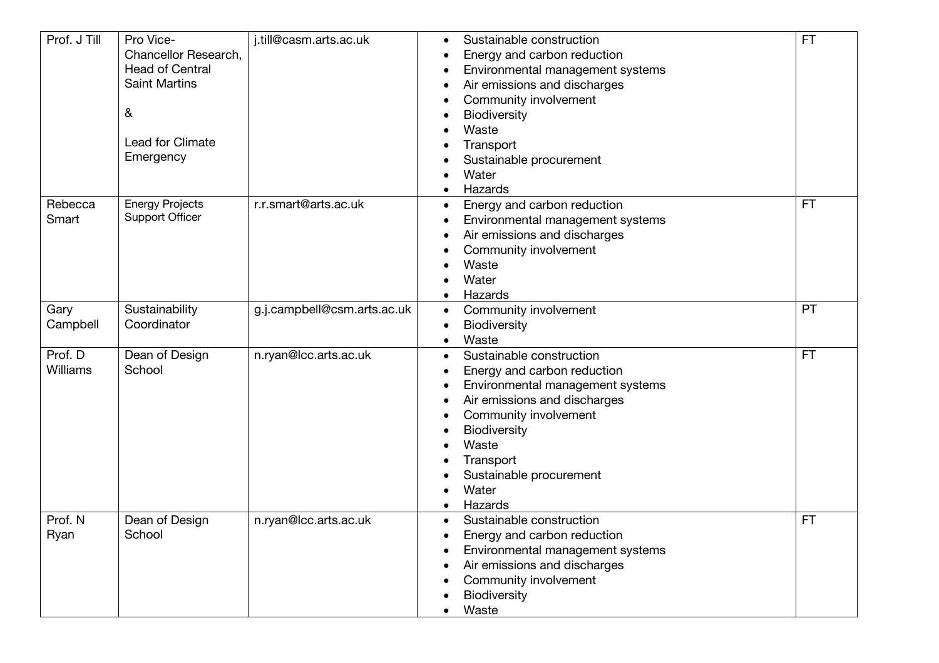| Prof. J Till | Pro Vice-              | j.till@casm.arts.ac.uk      | Sustainable construction<br>$\bullet$    | <b>FT</b> |
|--------------|------------------------|-----------------------------|------------------------------------------|-----------|
|              | Chancellor Research,   |                             | Energy and carbon reduction<br>$\bullet$ |           |
|              | <b>Head of Central</b> |                             | Environmental management systems         |           |
|              | <b>Saint Martins</b>   |                             | Air emissions and discharges             |           |
|              |                        |                             | Community involvement                    |           |
|              | &                      |                             | Biodiversity                             |           |
|              |                        |                             | Waste                                    |           |
|              | Lead for Climate       |                             | Transport                                |           |
|              | Emergency              |                             | Sustainable procurement                  |           |
|              |                        |                             | Water                                    |           |
|              |                        |                             | Hazards                                  |           |
| Rebecca      | <b>Energy Projects</b> | r.r.smart@arts.ac.uk        | Energy and carbon reduction<br>٠         | FT        |
| Smart        | <b>Support Officer</b> |                             | Environmental management systems         |           |
|              |                        |                             | Air emissions and discharges<br>٠        |           |
|              |                        |                             | Community involvement                    |           |
|              |                        |                             | Waste                                    |           |
|              |                        |                             | Water                                    |           |
|              |                        |                             | Hazards                                  |           |
| Gary         | Sustainability         | g.j.campbell@csm.arts.ac.uk | Community involvement<br>$\bullet$       | PT        |
| Campbell     | Coordinator            |                             | Biodiversity                             |           |
|              |                        |                             | Waste<br>$\bullet$                       |           |
| Prof. D      | Dean of Design         | n.ryan@lcc.arts.ac.uk       | Sustainable construction<br>$\bullet$    | <b>FT</b> |
| Williams     | School                 |                             | Energy and carbon reduction              |           |
|              |                        |                             | Environmental management systems         |           |
|              |                        |                             | Air emissions and discharges             |           |
|              |                        |                             | Community involvement                    |           |
|              |                        |                             | Biodiversity                             |           |
|              |                        |                             | Waste                                    |           |
|              |                        |                             | Transport                                |           |
|              |                        |                             | Sustainable procurement                  |           |
|              |                        |                             | Water                                    |           |
|              |                        |                             | Hazards                                  |           |
| Prof. N      | Dean of Design         | n.ryan@lcc.arts.ac.uk       | Sustainable construction<br>$\bullet$    | <b>FT</b> |
| Ryan         | School                 |                             | Energy and carbon reduction              |           |
|              |                        |                             | Environmental management systems         |           |
|              |                        |                             | Air emissions and discharges             |           |
|              |                        |                             | Community involvement                    |           |
|              |                        |                             | <b>Biodiversity</b>                      |           |
|              |                        |                             | Waste                                    |           |
|              |                        |                             |                                          |           |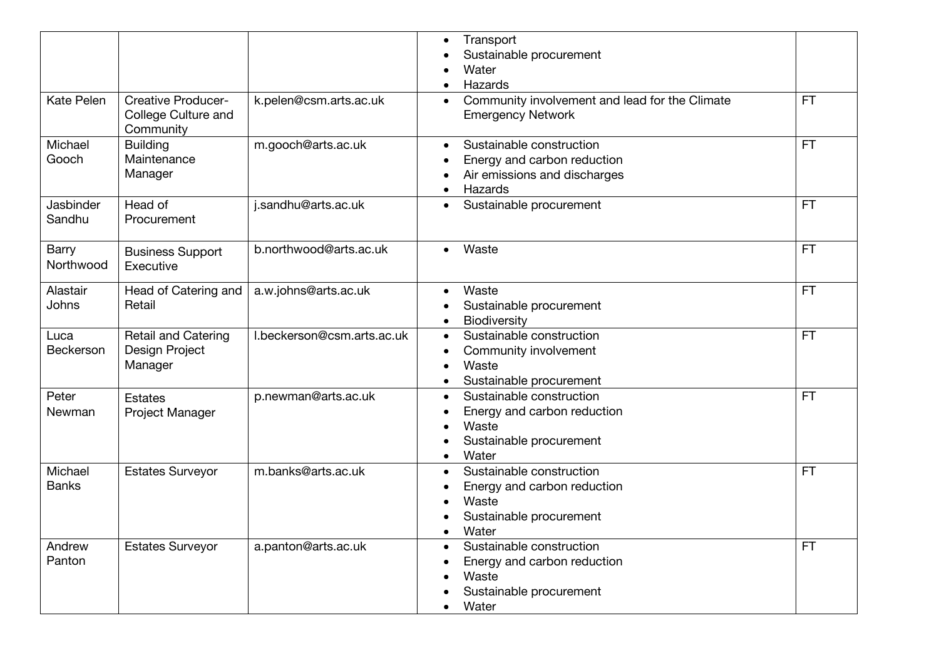|                           |                                                               |                            | Transport<br>Sustainable procurement<br>Water<br>Hazards                                                          |           |
|---------------------------|---------------------------------------------------------------|----------------------------|-------------------------------------------------------------------------------------------------------------------|-----------|
| Kate Pelen                | <b>Creative Producer-</b><br>College Culture and<br>Community | k.pelen@csm.arts.ac.uk     | Community involvement and lead for the Climate<br><b>Emergency Network</b>                                        | <b>FT</b> |
| Michael<br>Gooch          | <b>Building</b><br>Maintenance<br>Manager                     | m.gooch@arts.ac.uk         | Sustainable construction<br>Energy and carbon reduction<br>Air emissions and discharges<br>Hazards<br>$\bullet$   | <b>FT</b> |
| Jasbinder<br>Sandhu       | Head of<br>Procurement                                        | j.sandhu@arts.ac.uk        | Sustainable procurement<br>$\bullet$                                                                              | <b>FT</b> |
| <b>Barry</b><br>Northwood | <b>Business Support</b><br>Executive                          | b.northwood@arts.ac.uk     | Waste<br>$\bullet$                                                                                                | <b>FT</b> |
| Alastair<br><b>Johns</b>  | Head of Catering and<br>Retail                                | a.w.johns@arts.ac.uk       | Waste<br>$\bullet$<br>Sustainable procurement<br>Biodiversity                                                     | <b>FT</b> |
| Luca<br>Beckerson         | Retail and Catering<br>Design Project<br>Manager              | I.beckerson@csm.arts.ac.uk | Sustainable construction<br>Community involvement<br>Waste<br>Sustainable procurement                             | <b>FT</b> |
| Peter<br>Newman           | Estates<br>Project Manager                                    | p.newman@arts.ac.uk        | Sustainable construction<br>Energy and carbon reduction<br>Waste<br>Sustainable procurement<br>Water<br>$\bullet$ | <b>FT</b> |
| Michael<br><b>Banks</b>   | <b>Estates Surveyor</b>                                       | m.banks@arts.ac.uk         | Sustainable construction<br>Energy and carbon reduction<br>Waste<br>Sustainable procurement<br>Water<br>$\bullet$ | <b>FT</b> |
| Andrew<br>Panton          | <b>Estates Surveyor</b>                                       | a.panton@arts.ac.uk        | Sustainable construction<br>$\bullet$<br>Energy and carbon reduction<br>Waste<br>Sustainable procurement<br>Water | <b>FT</b> |